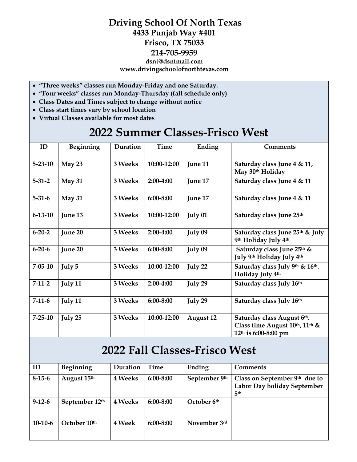## **Driving School Of North Texas 4433 Punjab Way #401 Frisco, TX 75033 214-705-9959 dsnt@dsntmail.com www.drivingschoolofnorthtexas.com**

- **"Three weeks" classes run Monday-Friday and one Saturday.**
- **"Four weeks" classes run Monday-Thursday (fall schedule only)**
- **Class Dates and Times subject to change without notice**
- **Class start times vary by school location**
- **Virtual Classes available for most dates**

## **2022 Summer Classes-Frisco West**

| ID            | Beginning | Duration | Time          | Ending           | <b>Comments</b>                                                                        |
|---------------|-----------|----------|---------------|------------------|----------------------------------------------------------------------------------------|
| $5 - 23 - 10$ | May 23    | 3 Weeks  | 10:00-12:00   | June 11          | Saturday class June 4 & 11,<br>May 30th Holiday                                        |
| $5 - 31 - 2$  | May 31    | 3 Weeks  | 2:00-4:00     | June 17          | Saturday class June 4 & 11                                                             |
| $5 - 31 - 6$  | May 31    | 3 Weeks  | 6:00-8:00     | June 17          | Saturday class June 4 & 11                                                             |
| $6 - 13 - 10$ | June 13   | 3 Weeks  | 10:00-12:00   | July 01          | Saturday class June 25th                                                               |
| $6 - 20 - 2$  | June 20   | 3 Weeks  | 2:00-4:00     | July 09          | Saturday class June 25th & July<br>9th Holiday July 4th                                |
| $6 - 20 - 6$  | June 20   | 3 Weeks  | $6:00 - 8:00$ | July 09          | Saturday class June 25th &<br>July 9th Holiday July 4th                                |
| $7 - 05 - 10$ | July 5    | 3 Weeks  | 10:00-12:00   | July 22          | Saturday class July 9th & 16th.<br>Holiday July 4th                                    |
| $7-11-2$      | July 11   | 3 Weeks  | 2:00-4:00     | July 29          | Saturday class July 16th                                                               |
| $7-11-6$      | July 11   | 3 Weeks  | $6:00 - 8:00$ | July 29          | Saturday class July 16th                                                               |
| $7 - 25 - 10$ | July 25   | 3 Weeks  | 10:00-12:00   | <b>August 12</b> | Saturday class August 6th.<br>Class time August 10th, 11th &<br>$12th$ is 6:00-8:00 pm |

## **2022 Fall Classes-Frisco West**

| ID           | Beginning      | Duration       | Time          | Ending        | <b>Comments</b>                                                                   |
|--------------|----------------|----------------|---------------|---------------|-----------------------------------------------------------------------------------|
| $8-15-6$     | August 15th    | <b>4 Weeks</b> | $6:00 - 8:00$ | September 9th | Class on September $9th$ due to<br>Labor Day holiday September<br>5 <sup>th</sup> |
| $9 - 12 - 6$ | September 12th | <b>4 Weeks</b> | $6:00 - 8:00$ | October 6th   |                                                                                   |
| $10-10-6$    | October 10th   | 4 Week         | 6:00-8:00     | November 3rd  |                                                                                   |